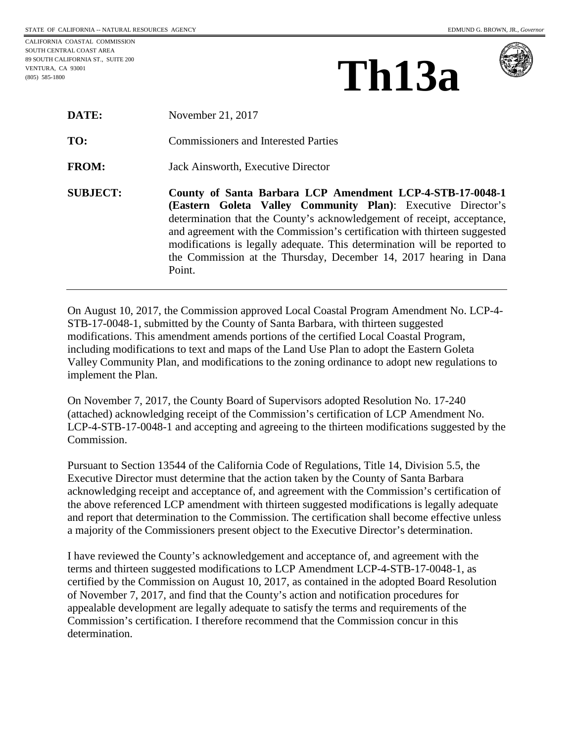CALIFORNIA COASTAL COMMISSION SOUTH CENTRAL COAST AREA 89 SOUTH CALIFORNIA ST., SUITE 200 VENTURA, CA 93001 (805) 585-1800

| Th13a |
|-------|
|-------|



| DATE:           | November 21, 2017                                                                                                                                                                                                                                                                                                                                                                                                                             |
|-----------------|-----------------------------------------------------------------------------------------------------------------------------------------------------------------------------------------------------------------------------------------------------------------------------------------------------------------------------------------------------------------------------------------------------------------------------------------------|
| TO:             | <b>Commissioners and Interested Parties</b>                                                                                                                                                                                                                                                                                                                                                                                                   |
| <b>FROM:</b>    | Jack Ainsworth, Executive Director                                                                                                                                                                                                                                                                                                                                                                                                            |
| <b>SUBJECT:</b> | County of Santa Barbara LCP Amendment LCP-4-STB-17-0048-1<br>(Eastern Goleta Valley Community Plan): Executive Director's<br>determination that the County's acknowledgement of receipt, acceptance,<br>and agreement with the Commission's certification with thirteen suggested<br>modifications is legally adequate. This determination will be reported to<br>the Commission at the Thursday, December 14, 2017 hearing in Dana<br>Point. |

On August 10, 2017, the Commission approved Local Coastal Program Amendment No. LCP-4- STB-17-0048-1, submitted by the County of Santa Barbara, with thirteen suggested modifications. This amendment amends portions of the certified Local Coastal Program, including modifications to text and maps of the Land Use Plan to adopt the Eastern Goleta Valley Community Plan, and modifications to the zoning ordinance to adopt new regulations to implement the Plan.

On November 7, 2017, the County Board of Supervisors adopted Resolution No. 17-240 (attached) acknowledging receipt of the Commission's certification of LCP Amendment No. LCP-4-STB-17-0048-1 and accepting and agreeing to the thirteen modifications suggested by the Commission.

Pursuant to Section 13544 of the California Code of Regulations, Title 14, Division 5.5, the Executive Director must determine that the action taken by the County of Santa Barbara acknowledging receipt and acceptance of, and agreement with the Commission's certification of the above referenced LCP amendment with thirteen suggested modifications is legally adequate and report that determination to the Commission. The certification shall become effective unless a majority of the Commissioners present object to the Executive Director's determination.

I have reviewed the County's acknowledgement and acceptance of, and agreement with the terms and thirteen suggested modifications to LCP Amendment LCP-4-STB-17-0048-1, as certified by the Commission on August 10, 2017, as contained in the adopted Board Resolution of November 7, 2017, and find that the County's action and notification procedures for appealable development are legally adequate to satisfy the terms and requirements of the Commission's certification. I therefore recommend that the Commission concur in this determination.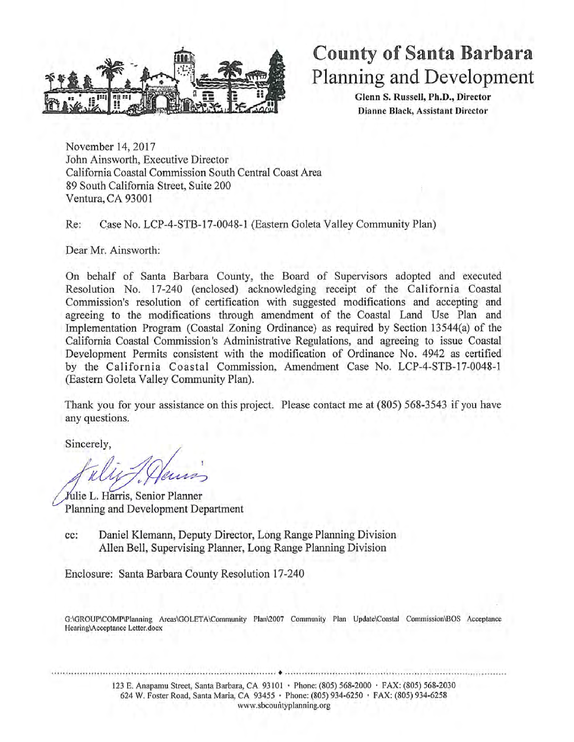

# **County of Santa Barbara** Planning and Development

Glenn S. Russell, Ph.D., Director Dianne Black, Assistant Director

November 14, 2017 John Ainsworth, Executive Director California Coastal Commission South Central Coast Area 89 South California Street, Suite 200 Ventura, CA 93001

Case No. LCP-4-STB-17-0048-1 (Eastern Goleta Valley Community Plan) Re:

Dear Mr. Ainsworth:

On behalf of Santa Barbara County, the Board of Supervisors adopted and executed Resolution No. 17-240 (enclosed) acknowledging receipt of the California Coastal Commission's resolution of certification with suggested modifications and accepting and agreeing to the modifications through amendment of the Coastal Land Use Plan and Implementation Program (Coastal Zoning Ordinance) as required by Section 13544(a) of the California Coastal Commission's Administrative Regulations, and agreeing to issue Coastal Development Permits consistent with the modification of Ordinance No. 4942 as certified by the California Coastal Commission, Amendment Case No. LCP-4-STB-17-0048-1 (Eastern Goleta Valley Community Plan).

Thank you for your assistance on this project. Please contact me at (805) 568-3543 if you have any questions.

Sincerely,

Julie L. Harris, Senior Planner Planning and Development Department

Daniel Klemann, Deputy Director, Long Range Planning Division cc: Allen Bell, Supervising Planner, Long Range Planning Division

Enclosure: Santa Barbara County Resolution 17-240

G:\GROUP\COMP\Planning Areas\GOLETA\Community Plan\2007 Community Plan Update\Coastal Commission\BOS Acceptance Hearing\Acceptance Letter.docx

> 123 E. Anapamu Street, Santa Barbara, CA 93101 · Phone: (805) 568-2000 · FAX: (805) 568-2030 624 W. Foster Road, Santa Maria, CA 93455 · Phone: (805) 934-6250 · FAX: (805) 934-6258 www.sbcountyplanning.org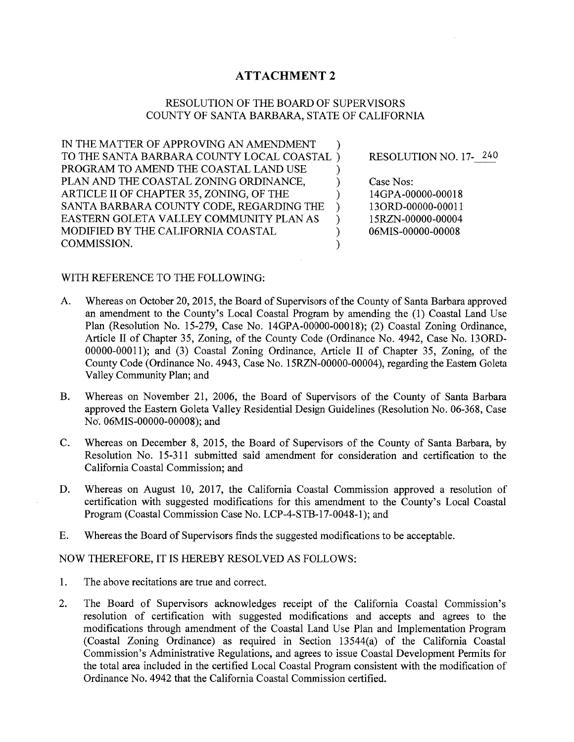## **ATTACHMENT 2**

### RESOLUTION OF THE BOARD OF SUPERVISORS COUNTY OF SANTA BARBARA, STATE OF CALIFORNIA

℩

℩

 $\lambda$ 

 $\lambda$ 

 $\mathcal{E}$ 

 $\mathcal{E}$ 

 $\mathcal{E}$ 

IN THE MATTER OF APPROVING AN AMENDMENT TO THE SANTA BARBARA COUNTY LOCAL COASTAL) PROGRAM TO AMEND THE COASTAL LAND USE PLAN AND THE COASTAL ZONING ORDINANCE, ARTICLE II OF CHAPTER 35, ZONING, OF THE SANTA BARBARA COUNTY CODE, REGARDING THE  $\mathcal{E}$ EASTERN GOLETA VALLEY COMMUNITY PLAN AS MODIFIED BY THE CALIFORNIA COASTAL COMMISSION.

RESOLUTION NO. 17-240

Case Nos: 14GPA-00000-00018 13ORD-00000-00011 15RZN-00000-00004 06MIS-00000-00008

#### WITH REFERENCE TO THE FOLLOWING:

- Whereas on October 20, 2015, the Board of Supervisors of the County of Santa Barbara approved A. an amendment to the County's Local Coastal Program by amending the (1) Coastal Land Use Plan (Resolution No. 15-279, Case No. 14GPA-00000-00018); (2) Coastal Zoning Ordinance, Article II of Chapter 35, Zoning, of the County Code (Ordinance No. 4942, Case No. 13ORD-00000-00011); and (3) Coastal Zoning Ordinance, Article II of Chapter 35, Zoning, of the County Code (Ordinance No. 4943, Case No. 15RZN-00000-00004), regarding the Eastern Goleta Valley Community Plan; and
- $B<sub>r</sub>$ Whereas on November 21, 2006, the Board of Supervisors of the County of Santa Barbara approved the Eastern Goleta Valley Residential Design Guidelines (Resolution No. 06-368, Case No. 06MIS-00000-00008); and
- $C_{\bullet}$ Whereas on December 8, 2015, the Board of Supervisors of the County of Santa Barbara, by Resolution No. 15-311 submitted said amendment for consideration and certification to the California Coastal Commission; and
- Whereas on August 10, 2017, the California Coastal Commission approved a resolution of D. certification with suggested modifications for this amendment to the County's Local Coastal Program (Coastal Commission Case No. LCP-4-STB-17-0048-1); and
- E. Whereas the Board of Supervisors finds the suggested modifications to be acceptable.

#### NOW THEREFORE, IT IS HEREBY RESOLVED AS FOLLOWS:

- 1. The above recitations are true and correct.
- $2.$ The Board of Supervisors acknowledges receipt of the California Coastal Commission's resolution of certification with suggested modifications and accepts and agrees to the modifications through amendment of the Coastal Land Use Plan and Implementation Program (Coastal Zoning Ordinance) as required in Section 13544(a) of the California Coastal Commission's Administrative Regulations, and agrees to issue Coastal Development Permits for the total area included in the certified Local Coastal Program consistent with the modification of Ordinance No. 4942 that the California Coastal Commission certified.